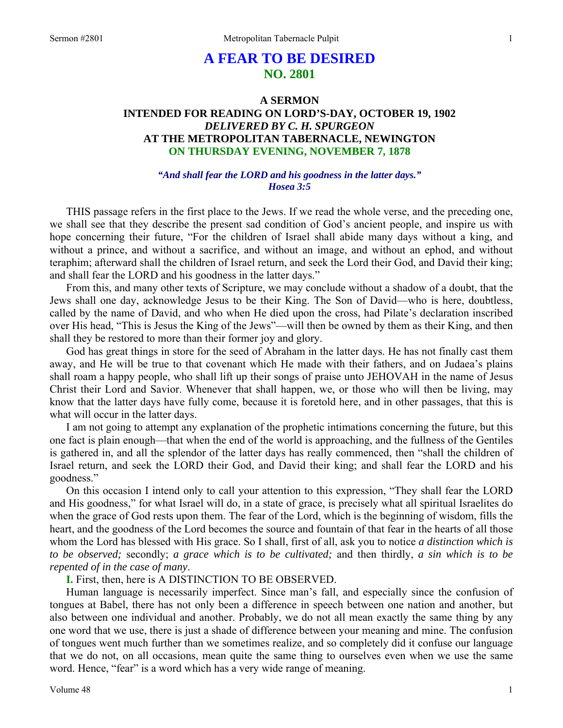# **A FEAR TO BE DESIRED NO. 2801**

# **A SERMON INTENDED FOR READING ON LORD'S-DAY, OCTOBER 19, 1902**  *DELIVERED BY C. H. SPURGEON*  **AT THE METROPOLITAN TABERNACLE, NEWINGTON ON THURSDAY EVENING, NOVEMBER 7, 1878**

### *"And shall fear the LORD and his goodness in the latter days." Hosea 3:5*

THIS passage refers in the first place to the Jews. If we read the whole verse, and the preceding one, we shall see that they describe the present sad condition of God's ancient people, and inspire us with hope concerning their future, "For the children of Israel shall abide many days without a king, and without a prince, and without a sacrifice, and without an image, and without an ephod, and without teraphim; afterward shall the children of Israel return, and seek the Lord their God, and David their king; and shall fear the LORD and his goodness in the latter days."

From this, and many other texts of Scripture, we may conclude without a shadow of a doubt, that the Jews shall one day, acknowledge Jesus to be their King. The Son of David—who is here, doubtless, called by the name of David, and who when He died upon the cross, had Pilate's declaration inscribed over His head, "This is Jesus the King of the Jews"—will then be owned by them as their King, and then shall they be restored to more than their former joy and glory.

God has great things in store for the seed of Abraham in the latter days. He has not finally cast them away, and He will be true to that covenant which He made with their fathers, and on Judaea's plains shall roam a happy people, who shall lift up their songs of praise unto JEHOVAH in the name of Jesus Christ their Lord and Savior. Whenever that shall happen, we, or those who will then be living, may know that the latter days have fully come, because it is foretold here, and in other passages, that this is what will occur in the latter days.

I am not going to attempt any explanation of the prophetic intimations concerning the future, but this one fact is plain enough—that when the end of the world is approaching, and the fullness of the Gentiles is gathered in, and all the splendor of the latter days has really commenced, then "shall the children of Israel return, and seek the LORD their God, and David their king; and shall fear the LORD and his goodness."

On this occasion I intend only to call your attention to this expression, "They shall fear the LORD and His goodness," for what Israel will do, in a state of grace, is precisely what all spiritual Israelites do when the grace of God rests upon them. The fear of the Lord, which is the beginning of wisdom, fills the heart, and the goodness of the Lord becomes the source and fountain of that fear in the hearts of all those whom the Lord has blessed with His grace. So I shall, first of all, ask you to notice *a distinction which is to be observed;* secondly; *a grace which is to be cultivated;* and then thirdly, *a sin which is to be repented of in the case of many*.

**I.** First, then, here is A DISTINCTION TO BE OBSERVED.

Human language is necessarily imperfect. Since man's fall, and especially since the confusion of tongues at Babel, there has not only been a difference in speech between one nation and another, but also between one individual and another. Probably, we do not all mean exactly the same thing by any one word that we use, there is just a shade of difference between your meaning and mine. The confusion of tongues went much further than we sometimes realize, and so completely did it confuse our language that we do not, on all occasions, mean quite the same thing to ourselves even when we use the same word. Hence, "fear" is a word which has a very wide range of meaning.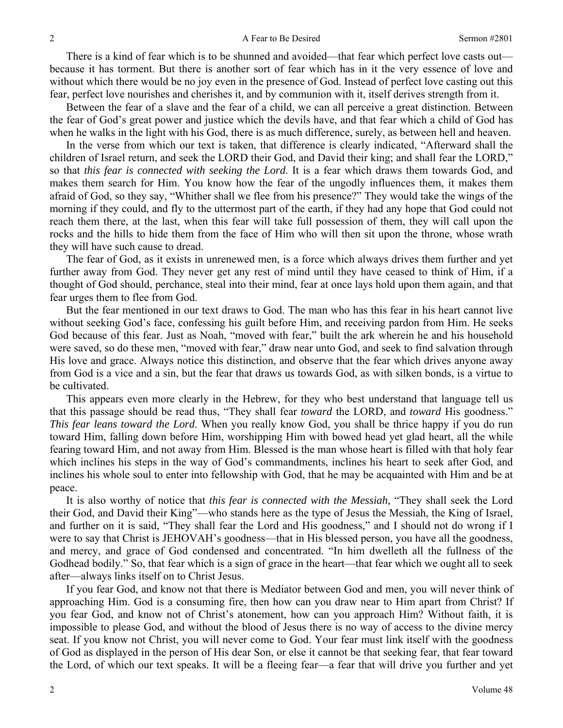There is a kind of fear which is to be shunned and avoided—that fear which perfect love casts out because it has torment. But there is another sort of fear which has in it the very essence of love and without which there would be no joy even in the presence of God. Instead of perfect love casting out this fear, perfect love nourishes and cherishes it, and by communion with it, itself derives strength from it.

Between the fear of a slave and the fear of a child, we can all perceive a great distinction. Between the fear of God's great power and justice which the devils have, and that fear which a child of God has when he walks in the light with his God, there is as much difference, surely, as between hell and heaven.

In the verse from which our text is taken, that difference is clearly indicated, "Afterward shall the children of Israel return, and seek the LORD their God, and David their king; and shall fear the LORD," so that *this fear is connected with seeking the Lord*. It is a fear which draws them towards God, and makes them search for Him. You know how the fear of the ungodly influences them, it makes them afraid of God, so they say, "Whither shall we flee from his presence?" They would take the wings of the morning if they could, and fly to the uttermost part of the earth, if they had any hope that God could not reach them there, at the last, when this fear will take full possession of them, they will call upon the rocks and the hills to hide them from the face of Him who will then sit upon the throne, whose wrath they will have such cause to dread.

The fear of God, as it exists in unrenewed men, is a force which always drives them further and yet further away from God. They never get any rest of mind until they have ceased to think of Him, if a thought of God should, perchance, steal into their mind, fear at once lays hold upon them again, and that fear urges them to flee from God.

But the fear mentioned in our text draws to God. The man who has this fear in his heart cannot live without seeking God's face, confessing his guilt before Him, and receiving pardon from Him. He seeks God because of this fear. Just as Noah, "moved with fear," built the ark wherein he and his household were saved, so do these men, "moved with fear," draw near unto God, and seek to find salvation through His love and grace. Always notice this distinction, and observe that the fear which drives anyone away from God is a vice and a sin, but the fear that draws us towards God, as with silken bonds, is a virtue to be cultivated.

This appears even more clearly in the Hebrew, for they who best understand that language tell us that this passage should be read thus, "They shall fear *toward* the LORD, and *toward* His goodness." *This fear leans toward the Lord*. When you really know God, you shall be thrice happy if you do run toward Him, falling down before Him, worshipping Him with bowed head yet glad heart, all the while fearing toward Him, and not away from Him. Blessed is the man whose heart is filled with that holy fear which inclines his steps in the way of God's commandments, inclines his heart to seek after God, and inclines his whole soul to enter into fellowship with God, that he may be acquainted with Him and be at peace.

It is also worthy of notice that *this fear is connected with the Messiah,* "They shall seek the Lord their God, and David their King"—who stands here as the type of Jesus the Messiah, the King of Israel, and further on it is said, "They shall fear the Lord and His goodness," and I should not do wrong if I were to say that Christ is JEHOVAH's goodness—that in His blessed person, you have all the goodness, and mercy, and grace of God condensed and concentrated. "In him dwelleth all the fullness of the Godhead bodily." So, that fear which is a sign of grace in the heart—that fear which we ought all to seek after—always links itself on to Christ Jesus.

If you fear God, and know not that there is Mediator between God and men, you will never think of approaching Him. God is a consuming fire, then how can you draw near to Him apart from Christ? If you fear God, and know not of Christ's atonement, how can you approach Him? Without faith, it is impossible to please God, and without the blood of Jesus there is no way of access to the divine mercy seat. If you know not Christ, you will never come to God. Your fear must link itself with the goodness of God as displayed in the person of His dear Son, or else it cannot be that seeking fear, that fear toward the Lord, of which our text speaks. It will be a fleeing fear—a fear that will drive you further and yet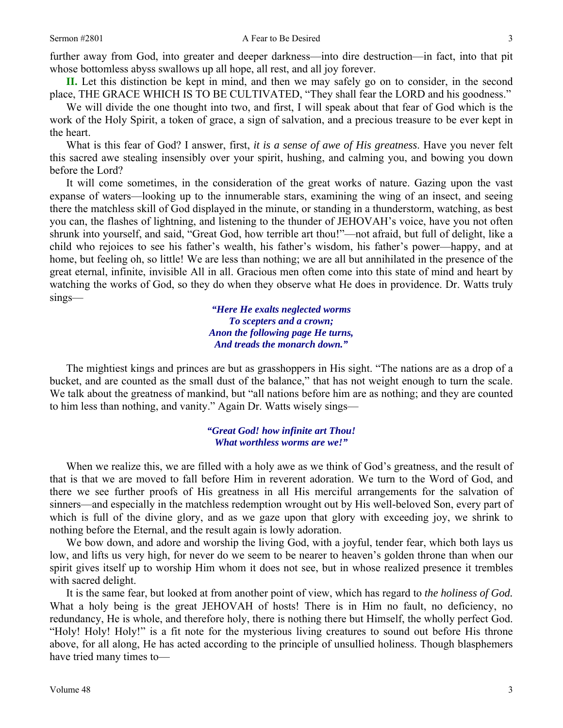further away from God, into greater and deeper darkness—into dire destruction—in fact, into that pit whose bottomless abyss swallows up all hope, all rest, and all joy forever.

**II.** Let this distinction be kept in mind, and then we may safely go on to consider, in the second place, THE GRACE WHICH IS TO BE CULTIVATED, "They shall fear the LORD and his goodness."

We will divide the one thought into two, and first, I will speak about that fear of God which is the work of the Holy Spirit, a token of grace, a sign of salvation, and a precious treasure to be ever kept in the heart.

What is this fear of God? I answer, first, *it is a sense of awe of His greatness*. Have you never felt this sacred awe stealing insensibly over your spirit, hushing, and calming you, and bowing you down before the Lord?

It will come sometimes, in the consideration of the great works of nature. Gazing upon the vast expanse of waters—looking up to the innumerable stars, examining the wing of an insect, and seeing there the matchless skill of God displayed in the minute, or standing in a thunderstorm, watching, as best you can, the flashes of lightning, and listening to the thunder of JEHOVAH's voice, have you not often shrunk into yourself, and said, "Great God, how terrible art thou!"—not afraid, but full of delight, like a child who rejoices to see his father's wealth, his father's wisdom, his father's power—happy, and at home, but feeling oh, so little! We are less than nothing; we are all but annihilated in the presence of the great eternal, infinite, invisible All in all. Gracious men often come into this state of mind and heart by watching the works of God, so they do when they observe what He does in providence. Dr. Watts truly sings—

> *"Here He exalts neglected worms To scepters and a crown; Anon the following page He turns, And treads the monarch down."*

The mightiest kings and princes are but as grasshoppers in His sight. "The nations are as a drop of a bucket, and are counted as the small dust of the balance," that has not weight enough to turn the scale. We talk about the greatness of mankind, but "all nations before him are as nothing; and they are counted to him less than nothing, and vanity." Again Dr. Watts wisely sings—

#### *"Great God! how infinite art Thou! What worthless worms are we!"*

When we realize this, we are filled with a holy awe as we think of God's greatness, and the result of that is that we are moved to fall before Him in reverent adoration. We turn to the Word of God, and there we see further proofs of His greatness in all His merciful arrangements for the salvation of sinners—and especially in the matchless redemption wrought out by His well-beloved Son, every part of which is full of the divine glory, and as we gaze upon that glory with exceeding joy, we shrink to nothing before the Eternal, and the result again is lowly adoration.

We bow down, and adore and worship the living God, with a joyful, tender fear, which both lays us low, and lifts us very high, for never do we seem to be nearer to heaven's golden throne than when our spirit gives itself up to worship Him whom it does not see, but in whose realized presence it trembles with sacred delight.

It is the same fear, but looked at from another point of view, which has regard to *the holiness of God.*  What a holy being is the great JEHOVAH of hosts! There is in Him no fault, no deficiency, no redundancy, He is whole, and therefore holy, there is nothing there but Himself, the wholly perfect God. "Holy! Holy! Holy!" is a fit note for the mysterious living creatures to sound out before His throne above, for all along, He has acted according to the principle of unsullied holiness. Though blasphemers have tried many times to—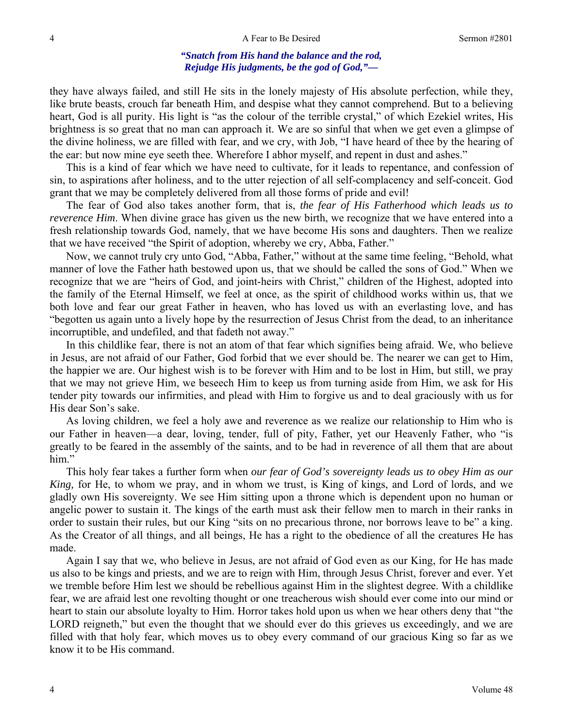### *"Snatch from His hand the balance and the rod, Rejudge His judgments, be the god of God,"—*

they have always failed, and still He sits in the lonely majesty of His absolute perfection, while they, like brute beasts, crouch far beneath Him, and despise what they cannot comprehend. But to a believing heart, God is all purity. His light is "as the colour of the terrible crystal," of which Ezekiel writes, His brightness is so great that no man can approach it. We are so sinful that when we get even a glimpse of the divine holiness, we are filled with fear, and we cry, with Job, "I have heard of thee by the hearing of the ear: but now mine eye seeth thee. Wherefore I abhor myself, and repent in dust and ashes."

This is a kind of fear which we have need to cultivate, for it leads to repentance, and confession of sin, to aspirations after holiness, and to the utter rejection of all self-complacency and self-conceit. God grant that we may be completely delivered from all those forms of pride and evil!

The fear of God also takes another form, that is, *the fear of His Fatherhood which leads us to reverence Him*. When divine grace has given us the new birth, we recognize that we have entered into a fresh relationship towards God, namely, that we have become His sons and daughters. Then we realize that we have received "the Spirit of adoption, whereby we cry, Abba, Father."

Now, we cannot truly cry unto God, "Abba, Father," without at the same time feeling, "Behold, what manner of love the Father hath bestowed upon us, that we should be called the sons of God." When we recognize that we are "heirs of God, and joint-heirs with Christ," children of the Highest, adopted into the family of the Eternal Himself, we feel at once, as the spirit of childhood works within us, that we both love and fear our great Father in heaven, who has loved us with an everlasting love, and has "begotten us again unto a lively hope by the resurrection of Jesus Christ from the dead, to an inheritance incorruptible, and undefiled, and that fadeth not away."

In this childlike fear, there is not an atom of that fear which signifies being afraid. We, who believe in Jesus, are not afraid of our Father, God forbid that we ever should be. The nearer we can get to Him, the happier we are. Our highest wish is to be forever with Him and to be lost in Him, but still, we pray that we may not grieve Him, we beseech Him to keep us from turning aside from Him, we ask for His tender pity towards our infirmities, and plead with Him to forgive us and to deal graciously with us for His dear Son's sake.

As loving children, we feel a holy awe and reverence as we realize our relationship to Him who is our Father in heaven—a dear, loving, tender, full of pity, Father, yet our Heavenly Father, who "is greatly to be feared in the assembly of the saints, and to be had in reverence of all them that are about him."

This holy fear takes a further form when *our fear of God's sovereignty leads us to obey Him as our King,* for He, to whom we pray, and in whom we trust, is King of kings, and Lord of lords, and we gladly own His sovereignty. We see Him sitting upon a throne which is dependent upon no human or angelic power to sustain it. The kings of the earth must ask their fellow men to march in their ranks in order to sustain their rules, but our King "sits on no precarious throne, nor borrows leave to be" a king. As the Creator of all things, and all beings, He has a right to the obedience of all the creatures He has made.

Again I say that we, who believe in Jesus, are not afraid of God even as our King, for He has made us also to be kings and priests, and we are to reign with Him, through Jesus Christ, forever and ever. Yet we tremble before Him lest we should be rebellious against Him in the slightest degree. With a childlike fear, we are afraid lest one revolting thought or one treacherous wish should ever come into our mind or heart to stain our absolute loyalty to Him. Horror takes hold upon us when we hear others deny that "the LORD reigneth," but even the thought that we should ever do this grieves us exceedingly, and we are filled with that holy fear, which moves us to obey every command of our gracious King so far as we know it to be His command.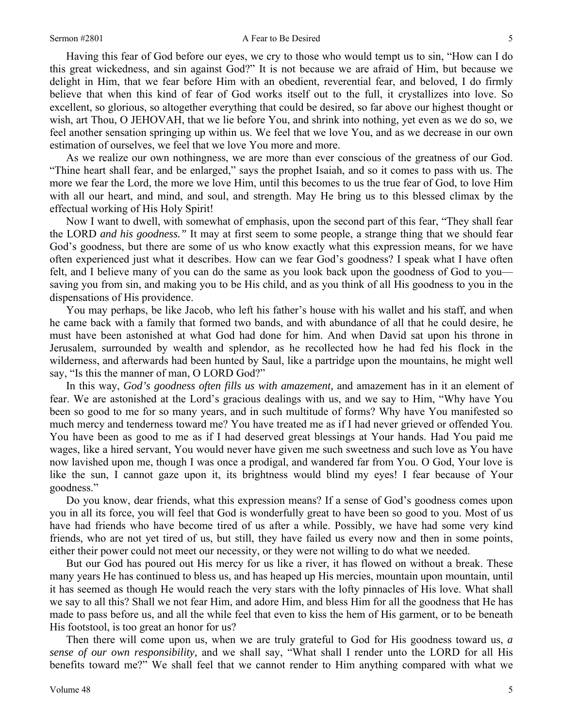#### Sermon #2801 **A Fear to Be Desired** 5

Having this fear of God before our eyes, we cry to those who would tempt us to sin, "How can I do this great wickedness, and sin against God?" It is not because we are afraid of Him, but because we delight in Him, that we fear before Him with an obedient, reverential fear, and beloved, I do firmly believe that when this kind of fear of God works itself out to the full, it crystallizes into love. So excellent, so glorious, so altogether everything that could be desired, so far above our highest thought or wish, art Thou, O JEHOVAH, that we lie before You, and shrink into nothing, yet even as we do so, we feel another sensation springing up within us. We feel that we love You, and as we decrease in our own estimation of ourselves, we feel that we love You more and more.

As we realize our own nothingness, we are more than ever conscious of the greatness of our God. "Thine heart shall fear, and be enlarged," says the prophet Isaiah, and so it comes to pass with us. The more we fear the Lord, the more we love Him, until this becomes to us the true fear of God, to love Him with all our heart, and mind, and soul, and strength. May He bring us to this blessed climax by the effectual working of His Holy Spirit!

Now I want to dwell, with somewhat of emphasis, upon the second part of this fear, "They shall fear the LORD *and his goodness."* It may at first seem to some people, a strange thing that we should fear God's goodness, but there are some of us who know exactly what this expression means, for we have often experienced just what it describes. How can we fear God's goodness? I speak what I have often felt, and I believe many of you can do the same as you look back upon the goodness of God to you saving you from sin, and making you to be His child, and as you think of all His goodness to you in the dispensations of His providence.

You may perhaps, be like Jacob, who left his father's house with his wallet and his staff, and when he came back with a family that formed two bands, and with abundance of all that he could desire, he must have been astonished at what God had done for him. And when David sat upon his throne in Jerusalem, surrounded by wealth and splendor, as he recollected how he had fed his flock in the wilderness, and afterwards had been hunted by Saul, like a partridge upon the mountains, he might well say, "Is this the manner of man, O LORD God?"

In this way, *God's goodness often fills us with amazement,* and amazement has in it an element of fear. We are astonished at the Lord's gracious dealings with us, and we say to Him, "Why have You been so good to me for so many years, and in such multitude of forms? Why have You manifested so much mercy and tenderness toward me? You have treated me as if I had never grieved or offended You. You have been as good to me as if I had deserved great blessings at Your hands. Had You paid me wages, like a hired servant, You would never have given me such sweetness and such love as You have now lavished upon me, though I was once a prodigal, and wandered far from You. O God, Your love is like the sun, I cannot gaze upon it, its brightness would blind my eyes! I fear because of Your goodness."

Do you know, dear friends, what this expression means? If a sense of God's goodness comes upon you in all its force, you will feel that God is wonderfully great to have been so good to you. Most of us have had friends who have become tired of us after a while. Possibly, we have had some very kind friends, who are not yet tired of us, but still, they have failed us every now and then in some points, either their power could not meet our necessity, or they were not willing to do what we needed.

But our God has poured out His mercy for us like a river, it has flowed on without a break. These many years He has continued to bless us, and has heaped up His mercies, mountain upon mountain, until it has seemed as though He would reach the very stars with the lofty pinnacles of His love. What shall we say to all this? Shall we not fear Him, and adore Him, and bless Him for all the goodness that He has made to pass before us, and all the while feel that even to kiss the hem of His garment, or to be beneath His footstool, is too great an honor for us?

Then there will come upon us, when we are truly grateful to God for His goodness toward us, *a sense of our own responsibility,* and we shall say, "What shall I render unto the LORD for all His benefits toward me?" We shall feel that we cannot render to Him anything compared with what we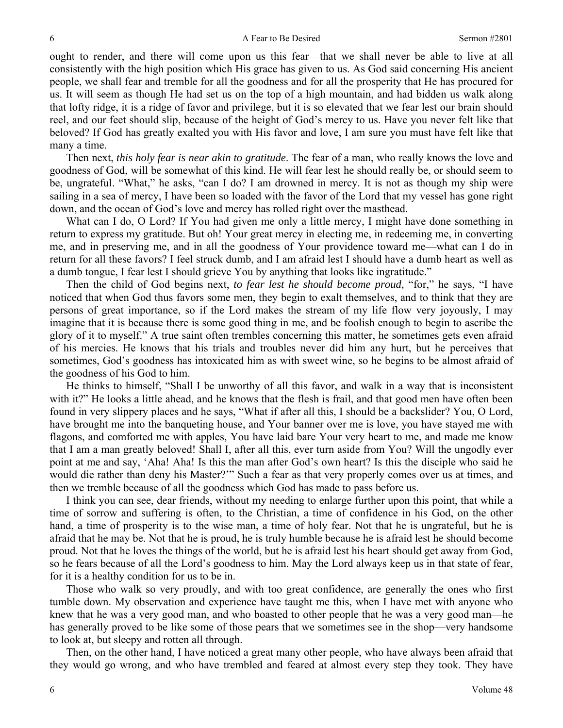ought to render, and there will come upon us this fear—that we shall never be able to live at all consistently with the high position which His grace has given to us. As God said concerning His ancient people, we shall fear and tremble for all the goodness and for all the prosperity that He has procured for us. It will seem as though He had set us on the top of a high mountain, and had bidden us walk along that lofty ridge, it is a ridge of favor and privilege, but it is so elevated that we fear lest our brain should reel, and our feet should slip, because of the height of God's mercy to us. Have you never felt like that beloved? If God has greatly exalted you with His favor and love, I am sure you must have felt like that many a time.

Then next, *this holy fear is near akin to gratitude*. The fear of a man, who really knows the love and goodness of God, will be somewhat of this kind. He will fear lest he should really be, or should seem to be, ungrateful. "What," he asks, "can I do? I am drowned in mercy. It is not as though my ship were sailing in a sea of mercy, I have been so loaded with the favor of the Lord that my vessel has gone right down, and the ocean of God's love and mercy has rolled right over the masthead.

What can I do, O Lord? If You had given me only a little mercy, I might have done something in return to express my gratitude. But oh! Your great mercy in electing me, in redeeming me, in converting me, and in preserving me, and in all the goodness of Your providence toward me—what can I do in return for all these favors? I feel struck dumb, and I am afraid lest I should have a dumb heart as well as a dumb tongue, I fear lest I should grieve You by anything that looks like ingratitude."

Then the child of God begins next, *to fear lest he should become proud,* "for," he says, "I have noticed that when God thus favors some men, they begin to exalt themselves, and to think that they are persons of great importance, so if the Lord makes the stream of my life flow very joyously, I may imagine that it is because there is some good thing in me, and be foolish enough to begin to ascribe the glory of it to myself." A true saint often trembles concerning this matter, he sometimes gets even afraid of his mercies. He knows that his trials and troubles never did him any hurt, but he perceives that sometimes, God's goodness has intoxicated him as with sweet wine, so he begins to be almost afraid of the goodness of his God to him.

He thinks to himself, "Shall I be unworthy of all this favor, and walk in a way that is inconsistent with it?" He looks a little ahead, and he knows that the flesh is frail, and that good men have often been found in very slippery places and he says, "What if after all this, I should be a backslider? You, O Lord, have brought me into the banqueting house, and Your banner over me is love, you have stayed me with flagons, and comforted me with apples, You have laid bare Your very heart to me, and made me know that I am a man greatly beloved! Shall I, after all this, ever turn aside from You? Will the ungodly ever point at me and say, 'Aha! Aha! Is this the man after God's own heart? Is this the disciple who said he would die rather than deny his Master?'" Such a fear as that very properly comes over us at times, and then we tremble because of all the goodness which God has made to pass before us.

I think you can see, dear friends, without my needing to enlarge further upon this point, that while a time of sorrow and suffering is often, to the Christian, a time of confidence in his God, on the other hand, a time of prosperity is to the wise man, a time of holy fear. Not that he is ungrateful, but he is afraid that he may be. Not that he is proud, he is truly humble because he is afraid lest he should become proud. Not that he loves the things of the world, but he is afraid lest his heart should get away from God, so he fears because of all the Lord's goodness to him. May the Lord always keep us in that state of fear, for it is a healthy condition for us to be in.

Those who walk so very proudly, and with too great confidence, are generally the ones who first tumble down. My observation and experience have taught me this, when I have met with anyone who knew that he was a very good man, and who boasted to other people that he was a very good man—he has generally proved to be like some of those pears that we sometimes see in the shop—very handsome to look at, but sleepy and rotten all through.

Then, on the other hand, I have noticed a great many other people, who have always been afraid that they would go wrong, and who have trembled and feared at almost every step they took. They have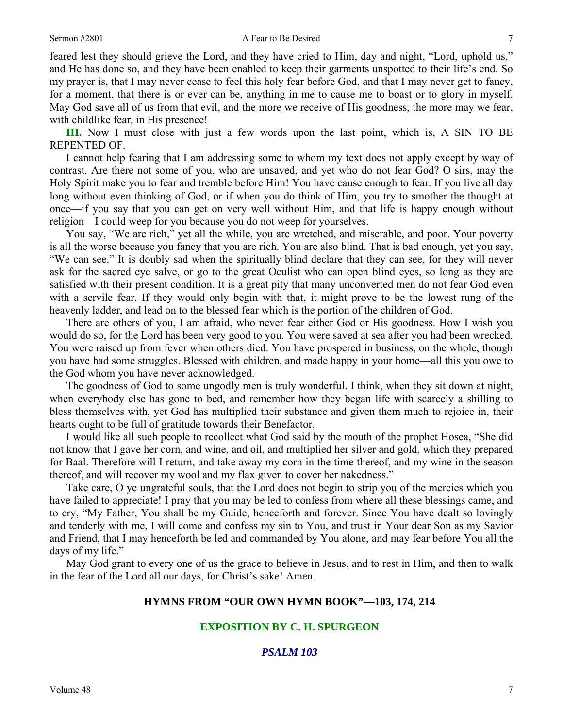#### Sermon #2801 **A Fear to Be Desired** 7

feared lest they should grieve the Lord, and they have cried to Him, day and night, "Lord, uphold us," and He has done so, and they have been enabled to keep their garments unspotted to their life's end. So my prayer is, that I may never cease to feel this holy fear before God, and that I may never get to fancy, for a moment, that there is or ever can be, anything in me to cause me to boast or to glory in myself. May God save all of us from that evil, and the more we receive of His goodness, the more may we fear, with childlike fear, in His presence!

**III.** Now I must close with just a few words upon the last point, which is, A SIN TO BE REPENTED OF.

I cannot help fearing that I am addressing some to whom my text does not apply except by way of contrast. Are there not some of you, who are unsaved, and yet who do not fear God? O sirs, may the Holy Spirit make you to fear and tremble before Him! You have cause enough to fear. If you live all day long without even thinking of God, or if when you do think of Him, you try to smother the thought at once—if you say that you can get on very well without Him, and that life is happy enough without religion—I could weep for you because you do not weep for yourselves.

You say, "We are rich," yet all the while, you are wretched, and miserable, and poor. Your poverty is all the worse because you fancy that you are rich. You are also blind. That is bad enough, yet you say, "We can see." It is doubly sad when the spiritually blind declare that they can see, for they will never ask for the sacred eye salve, or go to the great Oculist who can open blind eyes, so long as they are satisfied with their present condition. It is a great pity that many unconverted men do not fear God even with a servile fear. If they would only begin with that, it might prove to be the lowest rung of the heavenly ladder, and lead on to the blessed fear which is the portion of the children of God.

There are others of you, I am afraid, who never fear either God or His goodness. How I wish you would do so, for the Lord has been very good to you. You were saved at sea after you had been wrecked. You were raised up from fever when others died. You have prospered in business, on the whole, though you have had some struggles. Blessed with children, and made happy in your home—all this you owe to the God whom you have never acknowledged.

The goodness of God to some ungodly men is truly wonderful. I think, when they sit down at night, when everybody else has gone to bed, and remember how they began life with scarcely a shilling to bless themselves with, yet God has multiplied their substance and given them much to rejoice in, their hearts ought to be full of gratitude towards their Benefactor.

I would like all such people to recollect what God said by the mouth of the prophet Hosea, "She did not know that I gave her corn, and wine, and oil, and multiplied her silver and gold, which they prepared for Baal. Therefore will I return, and take away my corn in the time thereof, and my wine in the season thereof, and will recover my wool and my flax given to cover her nakedness."

Take care, O ye ungrateful souls, that the Lord does not begin to strip you of the mercies which you have failed to appreciate! I pray that you may be led to confess from where all these blessings came, and to cry, "My Father, You shall be my Guide, henceforth and forever. Since You have dealt so lovingly and tenderly with me, I will come and confess my sin to You, and trust in Your dear Son as my Savior and Friend, that I may henceforth be led and commanded by You alone, and may fear before You all the days of my life."

May God grant to every one of us the grace to believe in Jesus, and to rest in Him, and then to walk in the fear of the Lord all our days, for Christ's sake! Amen.

### **HYMNS FROM "OUR OWN HYMN BOOK"—103, 174, 214**

# **EXPOSITION BY C. H. SPURGEON**

# *PSALM 103*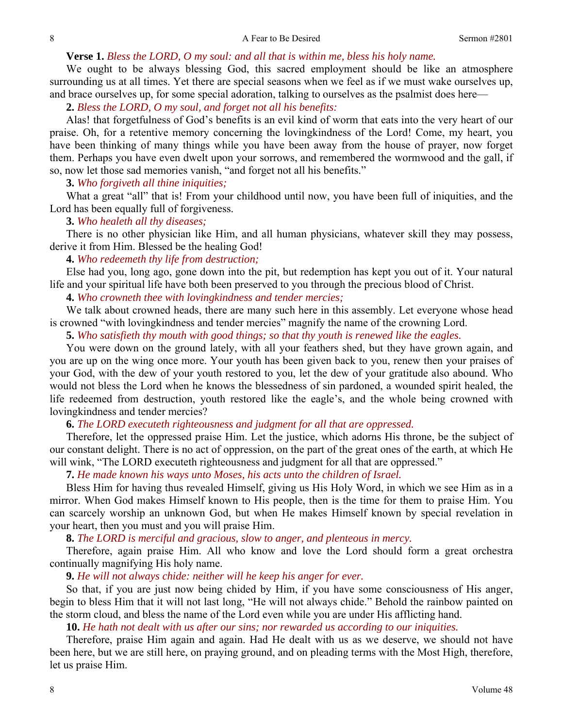### **Verse 1.** *Bless the LORD, O my soul: and all that is within me, bless his holy name.*

We ought to be always blessing God, this sacred employment should be like an atmosphere surrounding us at all times. Yet there are special seasons when we feel as if we must wake ourselves up, and brace ourselves up, for some special adoration, talking to ourselves as the psalmist does here—

# **2.** *Bless the LORD, O my soul, and forget not all his benefits:*

Alas! that forgetfulness of God's benefits is an evil kind of worm that eats into the very heart of our praise. Oh, for a retentive memory concerning the lovingkindness of the Lord! Come, my heart, you have been thinking of many things while you have been away from the house of prayer, now forget them. Perhaps you have even dwelt upon your sorrows, and remembered the wormwood and the gall, if so, now let those sad memories vanish, "and forget not all his benefits."

### **3.** *Who forgiveth all thine iniquities;*

What a great "all" that is! From your childhood until now, you have been full of iniquities, and the Lord has been equally full of forgiveness.

#### **3.** *Who healeth all thy diseases;*

There is no other physician like Him, and all human physicians, whatever skill they may possess, derive it from Him. Blessed be the healing God!

#### **4.** *Who redeemeth thy life from destruction;*

Else had you, long ago, gone down into the pit, but redemption has kept you out of it. Your natural life and your spiritual life have both been preserved to you through the precious blood of Christ.

### **4.** *Who crowneth thee with lovingkindness and tender mercies;*

We talk about crowned heads, there are many such here in this assembly. Let everyone whose head is crowned "with lovingkindness and tender mercies" magnify the name of the crowning Lord.

**5.** *Who satisfieth thy mouth with good things; so that thy youth is renewed like the eagles.* 

You were down on the ground lately, with all your feathers shed, but they have grown again, and you are up on the wing once more. Your youth has been given back to you, renew then your praises of your God, with the dew of your youth restored to you, let the dew of your gratitude also abound. Who would not bless the Lord when he knows the blessedness of sin pardoned, a wounded spirit healed, the life redeemed from destruction, youth restored like the eagle's, and the whole being crowned with lovingkindness and tender mercies?

### **6.** *The LORD executeth righteousness and judgment for all that are oppressed.*

Therefore, let the oppressed praise Him. Let the justice, which adorns His throne, be the subject of our constant delight. There is no act of oppression, on the part of the great ones of the earth, at which He will wink, "The LORD executeth righteousness and judgment for all that are oppressed."

#### **7.** *He made known his ways unto Moses, his acts unto the children of Israel.*

Bless Him for having thus revealed Himself, giving us His Holy Word, in which we see Him as in a mirror. When God makes Himself known to His people, then is the time for them to praise Him. You can scarcely worship an unknown God, but when He makes Himself known by special revelation in your heart, then you must and you will praise Him.

**8.** *The LORD is merciful and gracious, slow to anger, and plenteous in mercy.* 

Therefore, again praise Him. All who know and love the Lord should form a great orchestra continually magnifying His holy name.

# **9.** *He will not always chide: neither will he keep his anger for ever.*

So that, if you are just now being chided by Him, if you have some consciousness of His anger, begin to bless Him that it will not last long, "He will not always chide." Behold the rainbow painted on the storm cloud, and bless the name of the Lord even while you are under His afflicting hand.

**10.** *He hath not dealt with us after our sins; nor rewarded us according to our iniquities.* 

Therefore, praise Him again and again. Had He dealt with us as we deserve, we should not have been here, but we are still here, on praying ground, and on pleading terms with the Most High, therefore, let us praise Him.